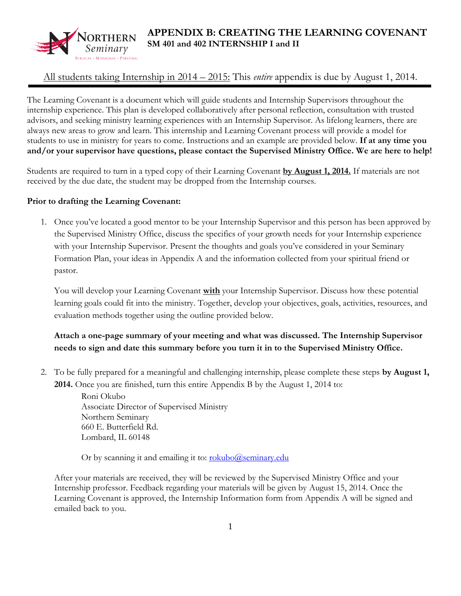

# **APPENDIX B: CREATING THE LEARNING COVENANT SM 401 and 402 INTERNSHIP I and II**

## All students taking Internship in 2014 – 2015: This *entire* appendix is due by August 1, 2014.

The Learning Covenant is a document which will guide students and Internship Supervisors throughout the internship experience. This plan is developed collaboratively after personal reflection, consultation with trusted advisors, and seeking ministry learning experiences with an Internship Supervisor. As lifelong learners, there are always new areas to grow and learn. This internship and Learning Covenant process will provide a model for students to use in ministry for years to come. Instructions and an example are provided below. **If at any time you and/or your supervisor have questions, please contact the Supervised Ministry Office. We are here to help!**

Students are required to turn in a typed copy of their Learning Covenant **by August 1, 2014.** If materials are not received by the due date, the student may be dropped from the Internship courses.

#### **Prior to drafting the Learning Covenant:**

1. Once you've located a good mentor to be your Internship Supervisor and this person has been approved by the Supervised Ministry Office, discuss the specifics of your growth needs for your Internship experience with your Internship Supervisor. Present the thoughts and goals you've considered in your Seminary Formation Plan, your ideas in Appendix A and the information collected from your spiritual friend or pastor.

You will develop your Learning Covenant **with** your Internship Supervisor. Discuss how these potential learning goals could fit into the ministry. Together, develop your objectives, goals, activities, resources, and evaluation methods together using the outline provided below.

## **Attach a one-page summary of your meeting and what was discussed. The Internship Supervisor needs to sign and date this summary before you turn it in to the Supervised Ministry Office.**

2. To be fully prepared for a meaningful and challenging internship, please complete these steps **by August 1, 2014.** Once you are finished, turn this entire Appendix B by the August 1, 2014 to:

> Roni Okubo Associate Director of Supervised Ministry Northern Seminary 660 E. Butterfield Rd. Lombard, IL 60148

Or by scanning it and emailing it to: [rokubo@seminary.edu](mailto:rokubo@seminary.edu)

After your materials are received, they will be reviewed by the Supervised Ministry Office and your Internship professor. Feedback regarding your materials will be given by August 15, 2014. Once the Learning Covenant is approved, the Internship Information form from Appendix A will be signed and emailed back to you.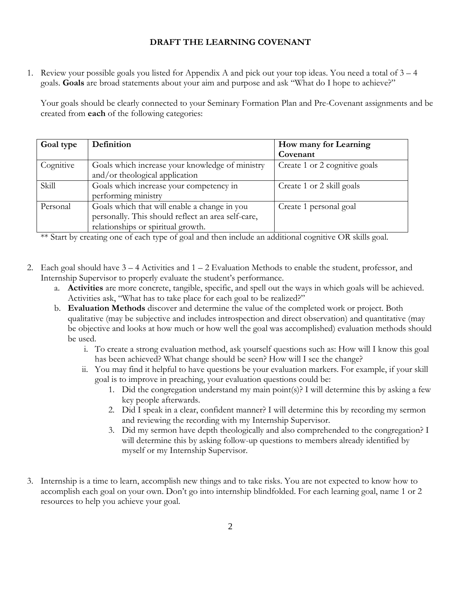#### **DRAFT THE LEARNING COVENANT**

1. Review your possible goals you listed for Appendix A and pick out your top ideas. You need a total of 3 – 4 goals. **Goals** are broad statements about your aim and purpose and ask "What do I hope to achieve?"

Your goals should be clearly connected to your Seminary Formation Plan and Pre-Covenant assignments and be created from **each** of the following categories:

| Goal type | Definition                                         | How many for Learning         |
|-----------|----------------------------------------------------|-------------------------------|
|           |                                                    | Covenant                      |
| Cognitive | Goals which increase your knowledge of ministry    | Create 1 or 2 cognitive goals |
|           | and/or theological application                     |                               |
| Skill     | Goals which increase your competency in            | Create 1 or 2 skill goals     |
|           | performing ministry                                |                               |
| Personal  | Goals which that will enable a change in you       | Create 1 personal goal        |
|           | personally. This should reflect an area self-care, |                               |
|           | relationships or spiritual growth.                 |                               |

\*\* Start by creating one of each type of goal and then include an additional cognitive OR skills goal.

- 2. Each goal should have 3 4 Activities and 1 2 Evaluation Methods to enable the student, professor, and Internship Supervisor to properly evaluate the student's performance.
	- a. **Activities** are more concrete, tangible, specific, and spell out the ways in which goals will be achieved. Activities ask, "What has to take place for each goal to be realized?"
	- b. **Evaluation Methods** discover and determine the value of the completed work or project. Both qualitative (may be subjective and includes introspection and direct observation) and quantitative (may be objective and looks at how much or how well the goal was accomplished) evaluation methods should be used.
		- i. To create a strong evaluation method, ask yourself questions such as: How will I know this goal has been achieved? What change should be seen? How will I see the change?
		- ii. You may find it helpful to have questions be your evaluation markers. For example, if your skill goal is to improve in preaching, your evaluation questions could be:
			- 1. Did the congregation understand my main point(s)? I will determine this by asking a few key people afterwards.
			- 2. Did I speak in a clear, confident manner? I will determine this by recording my sermon and reviewing the recording with my Internship Supervisor.
			- 3. Did my sermon have depth theologically and also comprehended to the congregation? I will determine this by asking follow-up questions to members already identified by myself or my Internship Supervisor.
- 3. Internship is a time to learn, accomplish new things and to take risks. You are not expected to know how to accomplish each goal on your own. Don't go into internship blindfolded. For each learning goal, name 1 or 2 resources to help you achieve your goal.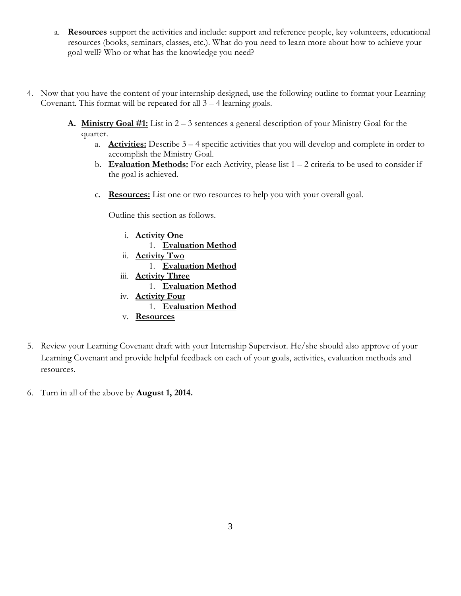- a. **Resources** support the activities and include: support and reference people, key volunteers, educational resources (books, seminars, classes, etc.). What do you need to learn more about how to achieve your goal well? Who or what has the knowledge you need?
- 4. Now that you have the content of your internship designed, use the following outline to format your Learning Covenant. This format will be repeated for all 3 – 4 learning goals.
	- **A. Ministry Goal #1:** List in 2 3 sentences a general description of your Ministry Goal for the quarter.
		- a. **Activities:** Describe 3 4 specific activities that you will develop and complete in order to accomplish the Ministry Goal.
		- b. **Evaluation Methods:** For each Activity, please list  $1 2$  criteria to be used to consider if the goal is achieved.
		- c. **Resources:** List one or two resources to help you with your overall goal.

Outline this section as follows.

- i. **Activity One** 1. **Evaluation Method**  ii. **Activity Two** 1. **Evaluation Method** iii. **Activity Three** 1. **Evaluation Method** iv. **Activity Four** 1. **Evaluation Method** v. **Resources**
- 5. Review your Learning Covenant draft with your Internship Supervisor. He/she should also approve of your Learning Covenant and provide helpful feedback on each of your goals, activities, evaluation methods and resources.
- 6. Turn in all of the above by **August 1, 2014.**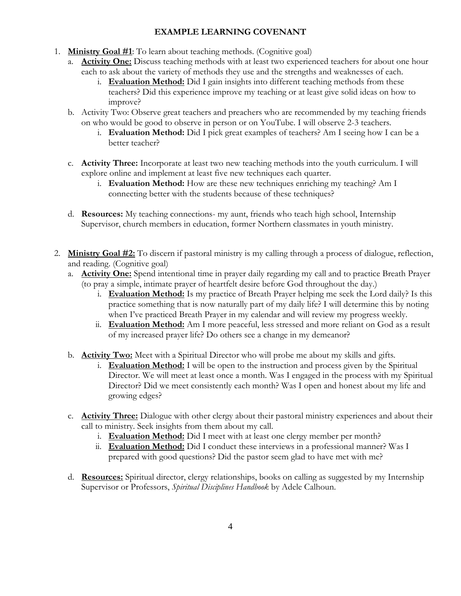### **EXAMPLE LEARNING COVENANT**

- 1. **Ministry Goal #1**: To learn about teaching methods. (Cognitive goal)
	- a. **Activity One:** Discuss teaching methods with at least two experienced teachers for about one hour each to ask about the variety of methods they use and the strengths and weaknesses of each.
		- i. **Evaluation Method:** Did I gain insights into different teaching methods from these teachers? Did this experience improve my teaching or at least give solid ideas on how to improve?
	- b. Activity Two: Observe great teachers and preachers who are recommended by my teaching friends on who would be good to observe in person or on YouTube. I will observe 2-3 teachers.
		- i. **Evaluation Method:** Did I pick great examples of teachers? Am I seeing how I can be a better teacher?
	- c. **Activity Three:** Incorporate at least two new teaching methods into the youth curriculum. I will explore online and implement at least five new techniques each quarter.
		- i. **Evaluation Method:** How are these new techniques enriching my teaching? Am I connecting better with the students because of these techniques?
	- d. **Resources:** My teaching connections- my aunt, friends who teach high school, Internship Supervisor, church members in education, former Northern classmates in youth ministry.
- 2. **Ministry Goal #2:** To discern if pastoral ministry is my calling through a process of dialogue, reflection, and reading. (Cognitive goal)
	- a. **Activity One:** Spend intentional time in prayer daily regarding my call and to practice Breath Prayer (to pray a simple, intimate prayer of heartfelt desire before God throughout the day.)
		- i. **Evaluation Method:** Is my practice of Breath Prayer helping me seek the Lord daily? Is this practice something that is now naturally part of my daily life? I will determine this by noting when I've practiced Breath Prayer in my calendar and will review my progress weekly.
		- ii. **Evaluation Method:** Am I more peaceful, less stressed and more reliant on God as a result of my increased prayer life? Do others see a change in my demeanor?
	- b. **Activity Two:** Meet with a Spiritual Director who will probe me about my skills and gifts.
		- i. **Evaluation Method:** I will be open to the instruction and process given by the Spiritual Director. We will meet at least once a month. Was I engaged in the process with my Spiritual Director? Did we meet consistently each month? Was I open and honest about my life and growing edges?
	- c. **Activity Three:** Dialogue with other clergy about their pastoral ministry experiences and about their call to ministry. Seek insights from them about my call.
		- i. **Evaluation Method:** Did I meet with at least one clergy member per month?
		- ii. **Evaluation Method:** Did I conduct these interviews in a professional manner? Was I prepared with good questions? Did the pastor seem glad to have met with me?
	- d. **Resources:** Spiritual director, clergy relationships, books on calling as suggested by my Internship Supervisor or Professors, *Spiritual Disciplines Handbook* by Adele Calhoun.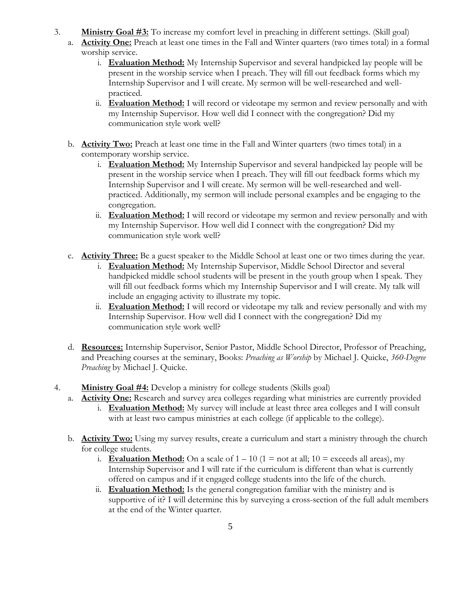- 3. **Ministry Goal #3:** To increase my comfort level in preaching in different settings. (Skill goal)
	- a. **Activity One:** Preach at least one times in the Fall and Winter quarters (two times total) in a formal worship service.
		- i. **Evaluation Method:** My Internship Supervisor and several handpicked lay people will be present in the worship service when I preach. They will fill out feedback forms which my Internship Supervisor and I will create. My sermon will be well-researched and wellpracticed.
		- ii. **Evaluation Method:** I will record or videotape my sermon and review personally and with my Internship Supervisor. How well did I connect with the congregation? Did my communication style work well?
	- b. **Activity Two:** Preach at least one time in the Fall and Winter quarters (two times total) in a contemporary worship service.
		- i. **Evaluation Method:** My Internship Supervisor and several handpicked lay people will be present in the worship service when I preach. They will fill out feedback forms which my Internship Supervisor and I will create. My sermon will be well-researched and wellpracticed. Additionally, my sermon will include personal examples and be engaging to the congregation.
		- ii. **Evaluation Method:** I will record or videotape my sermon and review personally and with my Internship Supervisor. How well did I connect with the congregation? Did my communication style work well?
	- c. **Activity Three:** Be a guest speaker to the Middle School at least one or two times during the year.
		- i. **Evaluation Method:** My Internship Supervisor, Middle School Director and several handpicked middle school students will be present in the youth group when I speak. They will fill out feedback forms which my Internship Supervisor and I will create. My talk will include an engaging activity to illustrate my topic.
		- ii. **Evaluation Method:** I will record or videotape my talk and review personally and with my Internship Supervisor. How well did I connect with the congregation? Did my communication style work well?
	- d. **Resources:** Internship Supervisor, Senior Pastor, Middle School Director, Professor of Preaching, and Preaching courses at the seminary, Books: *Preaching as Worship* by Michael J. Quicke, *360-Degree Preaching* by Michael J. Quicke.
- 4. **Ministry Goal #4:** Develop a ministry for college students (Skills goal)
	- a. **Activity One:** Research and survey area colleges regarding what ministries are currently provided
		- i. **Evaluation Method:** My survey will include at least three area colleges and I will consult with at least two campus ministries at each college (if applicable to the college).
	- b. **Activity Two:** Using my survey results, create a curriculum and start a ministry through the church for college students.
		- i. **Evaluation Method:** On a scale of  $1 10$  ( $1 =$  not at all;  $10 =$  exceeds all areas), my Internship Supervisor and I will rate if the curriculum is different than what is currently offered on campus and if it engaged college students into the life of the church.
		- ii. **Evaluation Method:** Is the general congregation familiar with the ministry and is supportive of it? I will determine this by surveying a cross-section of the full adult members at the end of the Winter quarter.